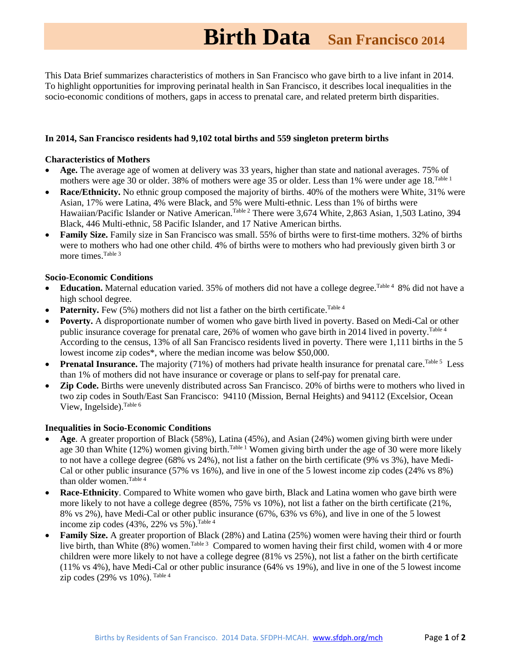# **Birth Data San Francisco <sup>2014</sup>**

This Data Brief summarizes characteristics of mothers in San Francisco who gave birth to a live infant in 2014. To highlight opportunities for improving perinatal health in San Francisco, it describes local inequalities in the socio-economic conditions of mothers, gaps in access to prenatal care, and related preterm birth disparities.

## **In 2014, San Francisco residents had 9,102 total births and 559 singleton preterm births**

#### **Characteristics of Mothers**

- **Age.** The average age of women at delivery was 33 years, higher than state and national averages. 75% of mothers were age 30 or older. 38% of mothers were age 35 or older. Less than 1% were under age 18. Table 1
- **Race/Ethnicity.** No ethnic group composed the majority of births. 40% of the mothers were White, 31% were Asian, 17% were Latina, 4% were Black, and 5% were Multi-ethnic. Less than 1% of births were Hawaiian/Pacific Islander or Native American.<sup>Table 2</sup> There were 3,674 White, 2,863 Asian, 1,503 Latino, 394 Black, 446 Multi-ethnic, 58 Pacific Islander, and 17 Native American births.
- **Family Size.** Family size in San Francisco was small. 55% of births were to first-time mothers. 32% of births were to mothers who had one other child. 4% of births were to mothers who had previously given birth 3 or more times. Table 3

#### **Socio-Economic Conditions**

- Education. Maternal education varied. 35% of mothers did not have a college degree. Table 4 8% did not have a high school degree.
- **Paternity.** Few  $(5\%)$  mothers did not list a father on the birth certificate. Table 4
- **Poverty.** A disproportionate number of women who gave birth lived in poverty. Based on Medi-Cal or other public insurance coverage for prenatal care, 26% of women who gave birth in 2014 lived in poverty. Table 4 According to the census, 13% of all San Francisco residents lived in poverty. There were 1,111 births in the 5 lowest income zip codes\*, where the median income was below \$50,000.
- Prenatal Insurance. The majority (71%) of mothers had private health insurance for prenatal care. <sup>Table 5</sup> Less than 1% of mothers did not have insurance or coverage or plans to self-pay for prenatal care.
- **Zip Code.** Births were unevenly distributed across San Francisco. 20% of births were to mothers who lived in two zip codes in South/East San Francisco: 94110 (Mission, Bernal Heights) and 94112 (Excelsior, Ocean View, Ingelside).  $^{Table 6}$

### **Inequalities in Socio-Economic Conditions**

- **Age**. A greater proportion of Black (58%), Latina (45%), and Asian (24%) women giving birth were under age 30 than White (12%) women giving birth.<sup>Table 1</sup> Women giving birth under the age of 30 were more likely to not have a college degree (68% vs 24%), not list a father on the birth certificate (9% vs 3%), have Medi-Cal or other public insurance (57% vs 16%), and live in one of the 5 lowest income zip codes (24% vs 8%) than older women. Table 4
- **Race-Ethnicity**. Compared to White women who gave birth, Black and Latina women who gave birth were more likely to not have a college degree (85%, 75% vs 10%), not list a father on the birth certificate (21%, 8% vs 2%), have Medi-Cal or other public insurance (67%, 63% vs 6%), and live in one of the 5 lowest income zip codes  $(43\%, 22\% \text{ vs } 5\%)$ . Table 4
- **Family Size.** A greater proportion of Black (28%) and Latina (25%) women were having their third or fourth live birth, than White (8%) women.<sup>Table 3</sup> Compared to women having their first child, women with 4 or more children were more likely to not have a college degree (81% vs 25%), not list a father on the birth certificate (11% vs 4%), have Medi-Cal or other public insurance (64% vs 19%), and live in one of the 5 lowest income  $zip codes (29% vs 10%).$ <sup>Table 4</sup>